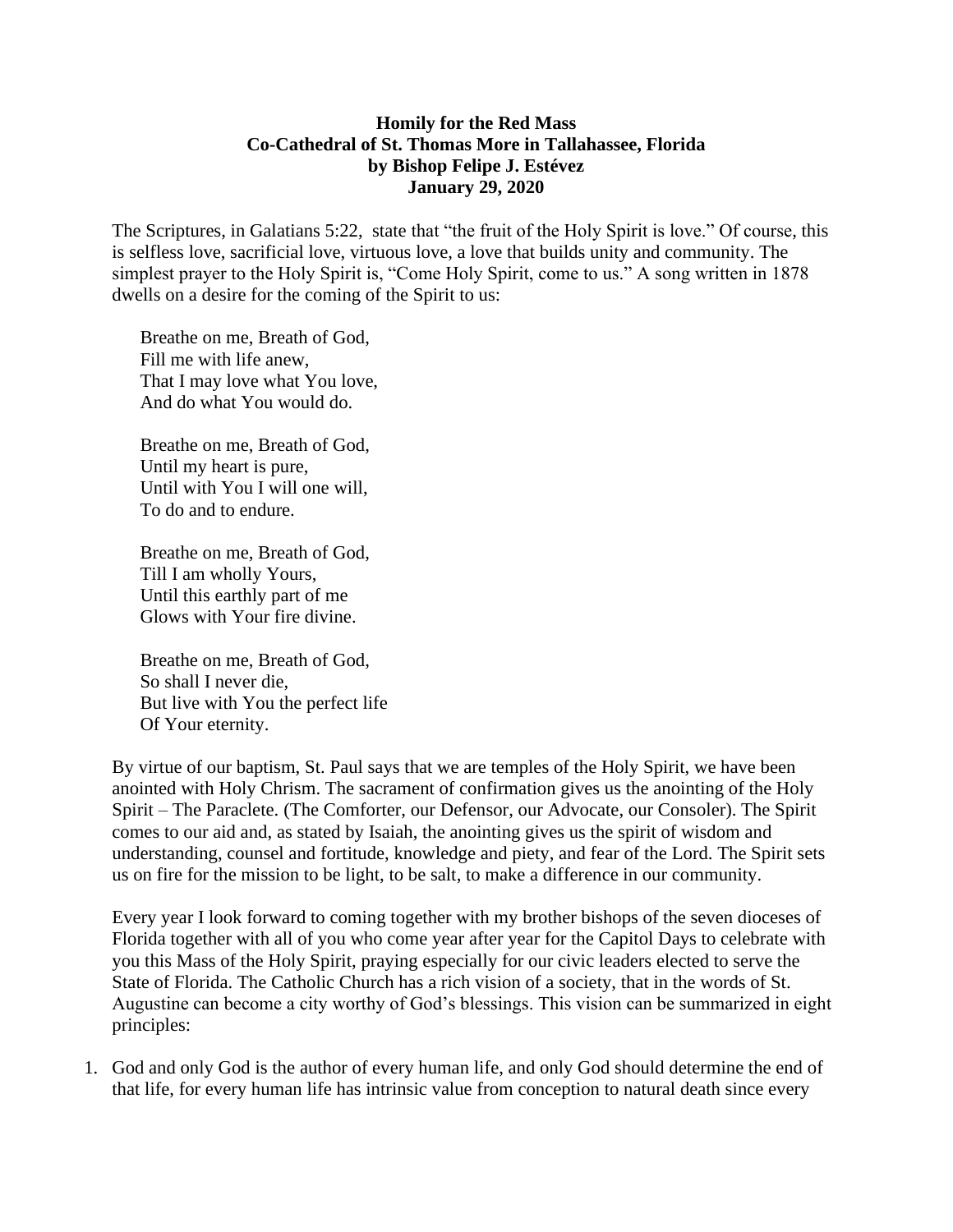## **Homily for the Red Mass Co-Cathedral of St. Thomas More in Tallahassee, Florida by Bishop Felipe J. Estévez January 29, 2020**

The Scriptures, in Galatians 5:22, state that "the fruit of the Holy Spirit is love." Of course, this is selfless love, sacrificial love, virtuous love, a love that builds unity and community. The simplest prayer to the Holy Spirit is, "Come Holy Spirit, come to us." A song written in 1878 dwells on a desire for the coming of the Spirit to us:

Breathe on me, Breath of God, Fill me with life anew, That I may love what You love, And do what You would do.

Breathe on me, Breath of God, Until my heart is pure, Until with You I will one will, To do and to endure.

Breathe on me, Breath of God, Till I am wholly Yours, Until this earthly part of me Glows with Your fire divine.

Breathe on me, Breath of God, So shall I never die, But live with You the perfect life Of Your eternity.

By virtue of our baptism, St. Paul says that we are temples of the Holy Spirit, we have been anointed with Holy Chrism. The sacrament of confirmation gives us the anointing of the Holy Spirit – The Paraclete. (The Comforter, our Defensor, our Advocate, our Consoler). The Spirit comes to our aid and, as stated by Isaiah, the anointing gives us the spirit of wisdom and understanding, counsel and fortitude, knowledge and piety, and fear of the Lord. The Spirit sets us on fire for the mission to be light, to be salt, to make a difference in our community.

Every year I look forward to coming together with my brother bishops of the seven dioceses of Florida together with all of you who come year after year for the Capitol Days to celebrate with you this Mass of the Holy Spirit, praying especially for our civic leaders elected to serve the State of Florida. The Catholic Church has a rich vision of a society, that in the words of St. Augustine can become a city worthy of God's blessings. This vision can be summarized in eight principles:

1. God and only God is the author of every human life, and only God should determine the end of that life, for every human life has intrinsic value from conception to natural death since every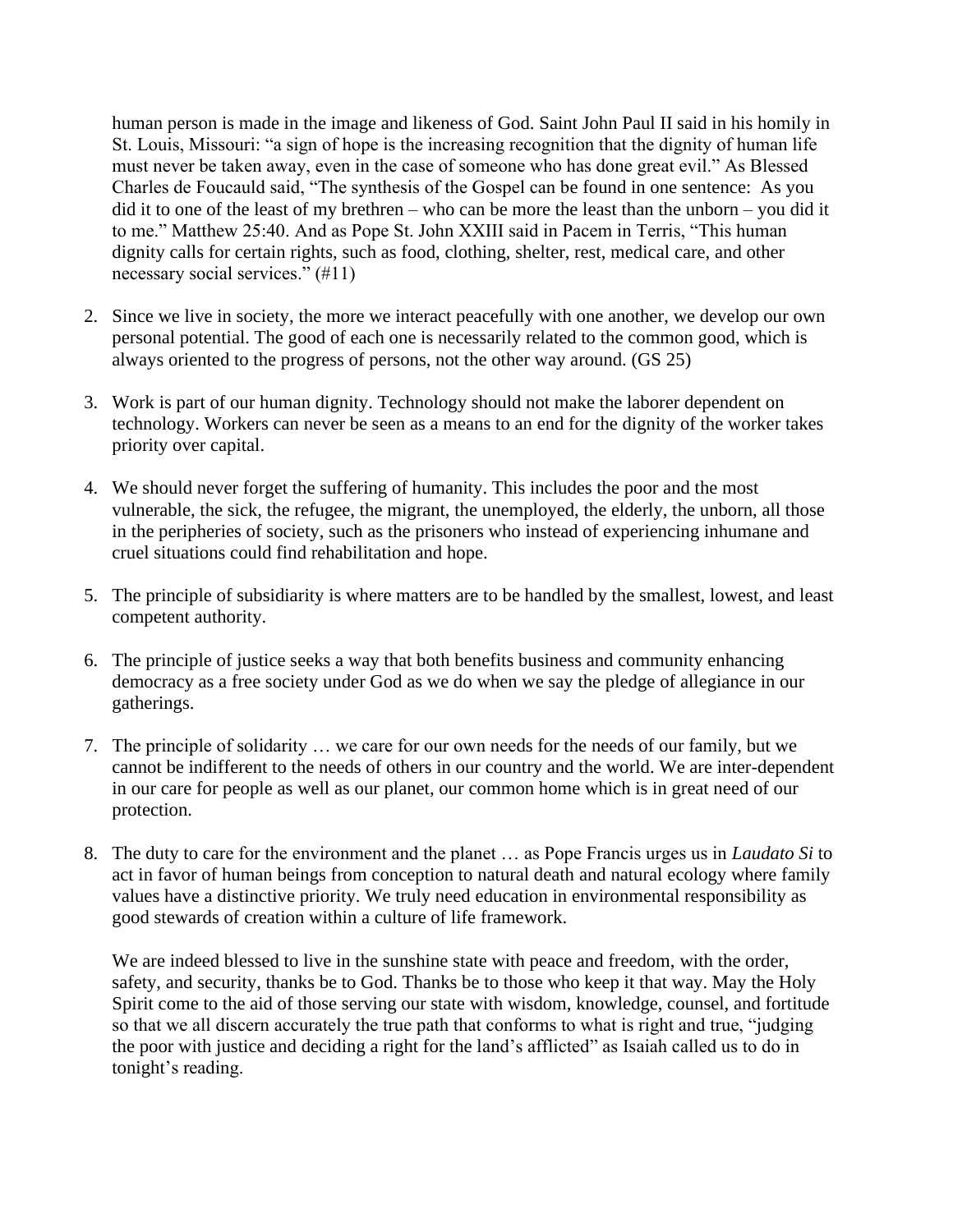human person is made in the image and likeness of God. Saint John Paul II said in his homily in St. Louis, Missouri: "a sign of hope is the increasing recognition that the dignity of human life must never be taken away, even in the case of someone who has done great evil." As Blessed Charles de Foucauld said, "The synthesis of the Gospel can be found in one sentence: As you did it to one of the least of my brethren – who can be more the least than the unborn – you did it to me." Matthew 25:40. And as Pope St. John XXIII said in Pacem in Terris, "This human dignity calls for certain rights, such as food, clothing, shelter, rest, medical care, and other necessary social services." (#11)

- 2. Since we live in society, the more we interact peacefully with one another, we develop our own personal potential. The good of each one is necessarily related to the common good, which is always oriented to the progress of persons, not the other way around. (GS 25)
- 3. Work is part of our human dignity. Technology should not make the laborer dependent on technology. Workers can never be seen as a means to an end for the dignity of the worker takes priority over capital.
- 4. We should never forget the suffering of humanity. This includes the poor and the most vulnerable, the sick, the refugee, the migrant, the unemployed, the elderly, the unborn, all those in the peripheries of society, such as the prisoners who instead of experiencing inhumane and cruel situations could find rehabilitation and hope.
- 5. The principle of subsidiarity is where matters are to be handled by the smallest, lowest, and least competent authority.
- 6. The principle of justice seeks a way that both benefits business and community enhancing democracy as a free society under God as we do when we say the pledge of allegiance in our gatherings.
- 7. The principle of solidarity … we care for our own needs for the needs of our family, but we cannot be indifferent to the needs of others in our country and the world. We are inter-dependent in our care for people as well as our planet, our common home which is in great need of our protection.
- 8. The duty to care for the environment and the planet … as Pope Francis urges us in *Laudato Si* to act in favor of human beings from conception to natural death and natural ecology where family values have a distinctive priority. We truly need education in environmental responsibility as good stewards of creation within a culture of life framework.

We are indeed blessed to live in the sunshine state with peace and freedom, with the order, safety, and security, thanks be to God. Thanks be to those who keep it that way. May the Holy Spirit come to the aid of those serving our state with wisdom, knowledge, counsel, and fortitude so that we all discern accurately the true path that conforms to what is right and true, "judging the poor with justice and deciding a right for the land's afflicted" as Isaiah called us to do in tonight's reading.